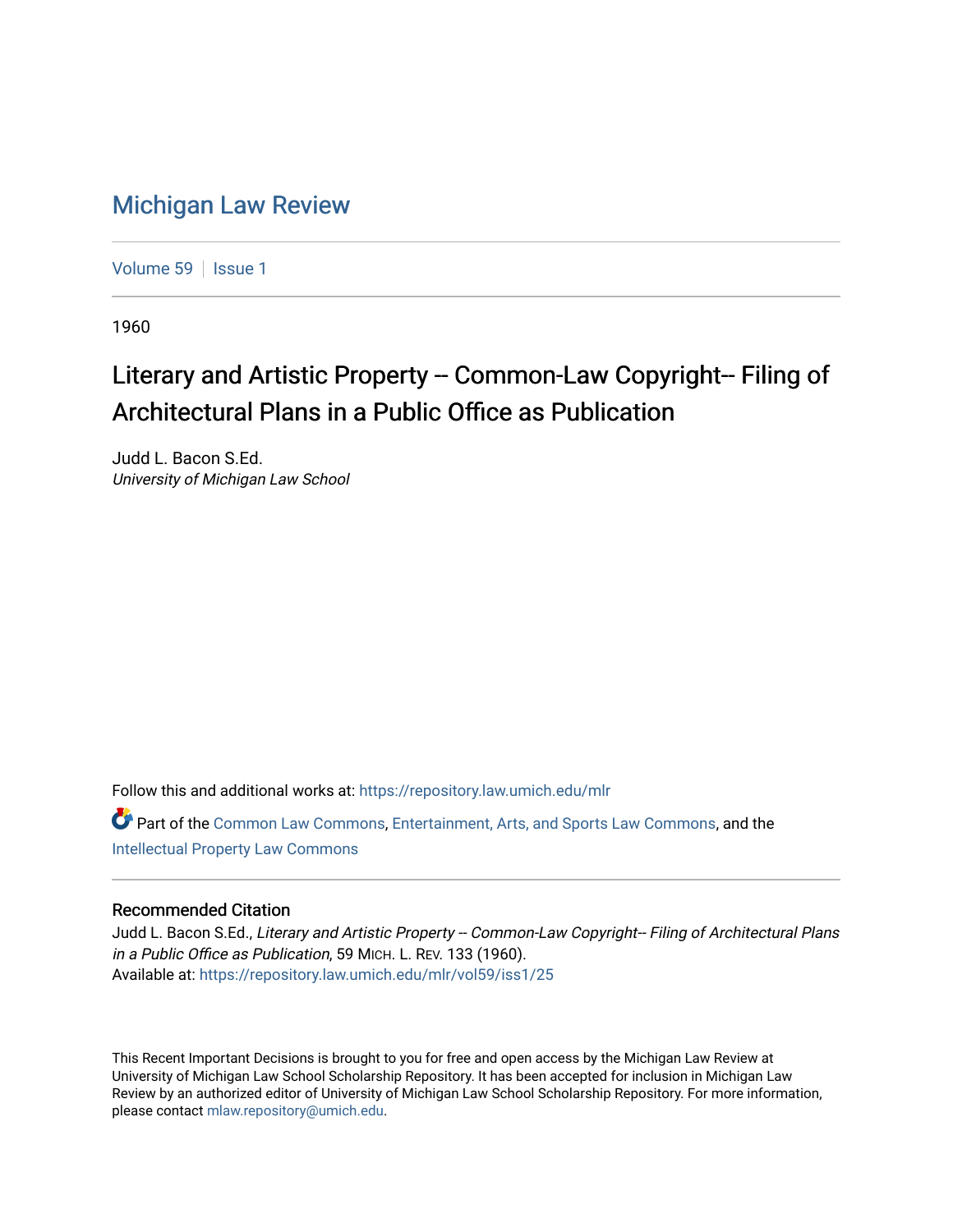## [Michigan Law Review](https://repository.law.umich.edu/mlr)

[Volume 59](https://repository.law.umich.edu/mlr/vol59) | [Issue 1](https://repository.law.umich.edu/mlr/vol59/iss1)

1960

## Literary and Artistic Property -- Common-Law Copyright-- Filing of Architectural Plans in a Public Office as Publication

Judd L. Bacon S.Ed. University of Michigan Law School

Follow this and additional works at: [https://repository.law.umich.edu/mlr](https://repository.law.umich.edu/mlr?utm_source=repository.law.umich.edu%2Fmlr%2Fvol59%2Fiss1%2F25&utm_medium=PDF&utm_campaign=PDFCoverPages) 

Part of the [Common Law Commons,](http://network.bepress.com/hgg/discipline/1120?utm_source=repository.law.umich.edu%2Fmlr%2Fvol59%2Fiss1%2F25&utm_medium=PDF&utm_campaign=PDFCoverPages) [Entertainment, Arts, and Sports Law Commons](http://network.bepress.com/hgg/discipline/893?utm_source=repository.law.umich.edu%2Fmlr%2Fvol59%2Fiss1%2F25&utm_medium=PDF&utm_campaign=PDFCoverPages), and the [Intellectual Property Law Commons](http://network.bepress.com/hgg/discipline/896?utm_source=repository.law.umich.edu%2Fmlr%2Fvol59%2Fiss1%2F25&utm_medium=PDF&utm_campaign=PDFCoverPages) 

## Recommended Citation

Judd L. Bacon S.Ed., Literary and Artistic Property -- Common-Law Copyright-- Filing of Architectural Plans in a Public Office as Publication, 59 MICH. L. REV. 133 (1960). Available at: [https://repository.law.umich.edu/mlr/vol59/iss1/25](https://repository.law.umich.edu/mlr/vol59/iss1/25?utm_source=repository.law.umich.edu%2Fmlr%2Fvol59%2Fiss1%2F25&utm_medium=PDF&utm_campaign=PDFCoverPages) 

This Recent Important Decisions is brought to you for free and open access by the Michigan Law Review at University of Michigan Law School Scholarship Repository. It has been accepted for inclusion in Michigan Law Review by an authorized editor of University of Michigan Law School Scholarship Repository. For more information, please contact [mlaw.repository@umich.edu.](mailto:mlaw.repository@umich.edu)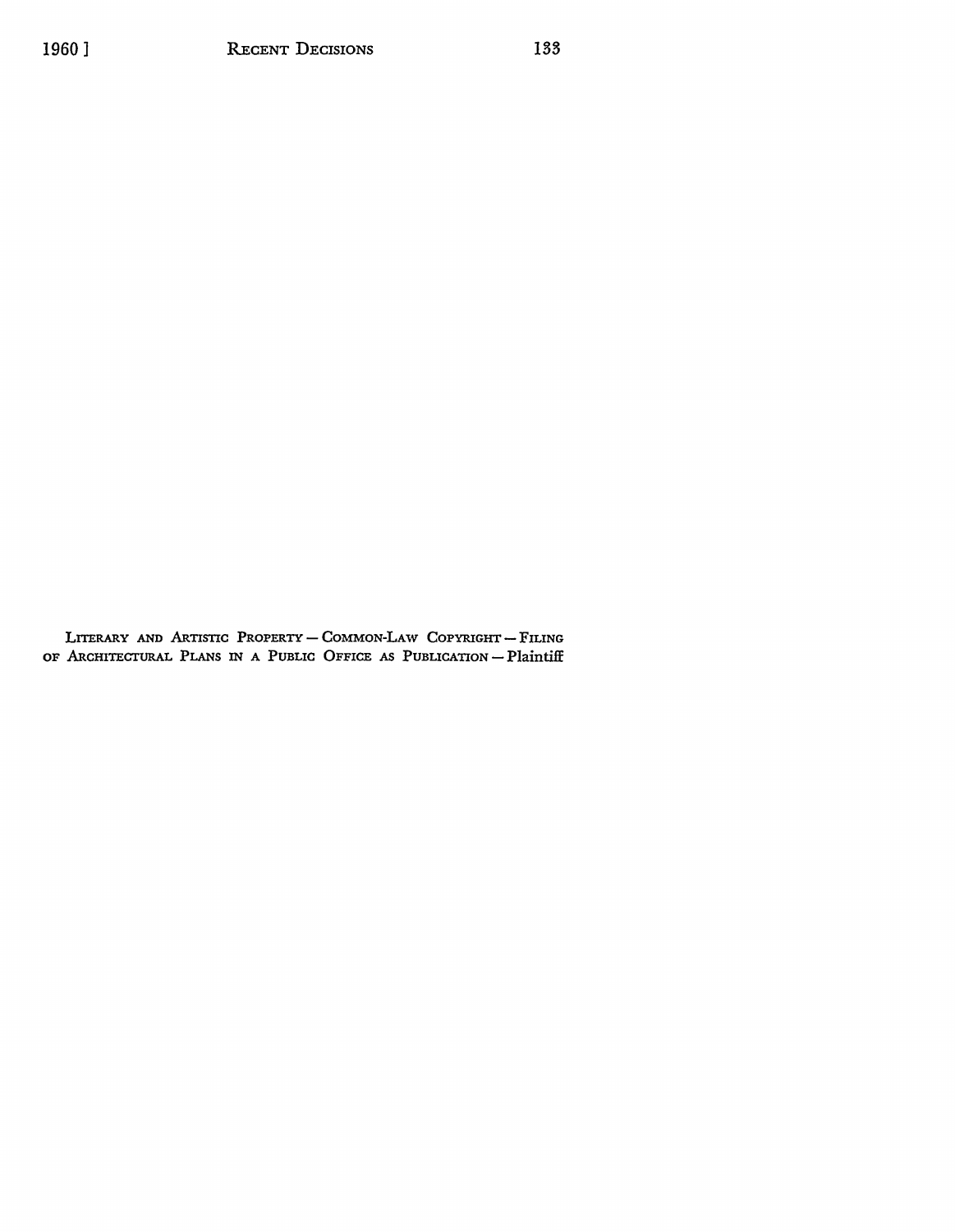LITERARY AND ARTISTIC PROPERTY-COMMON-LAW COPYRIGHT-FILING OF ARCHITECTURAL PLANS IN A PUBLIC OFFICE AS PUBLICATION - Plaintiff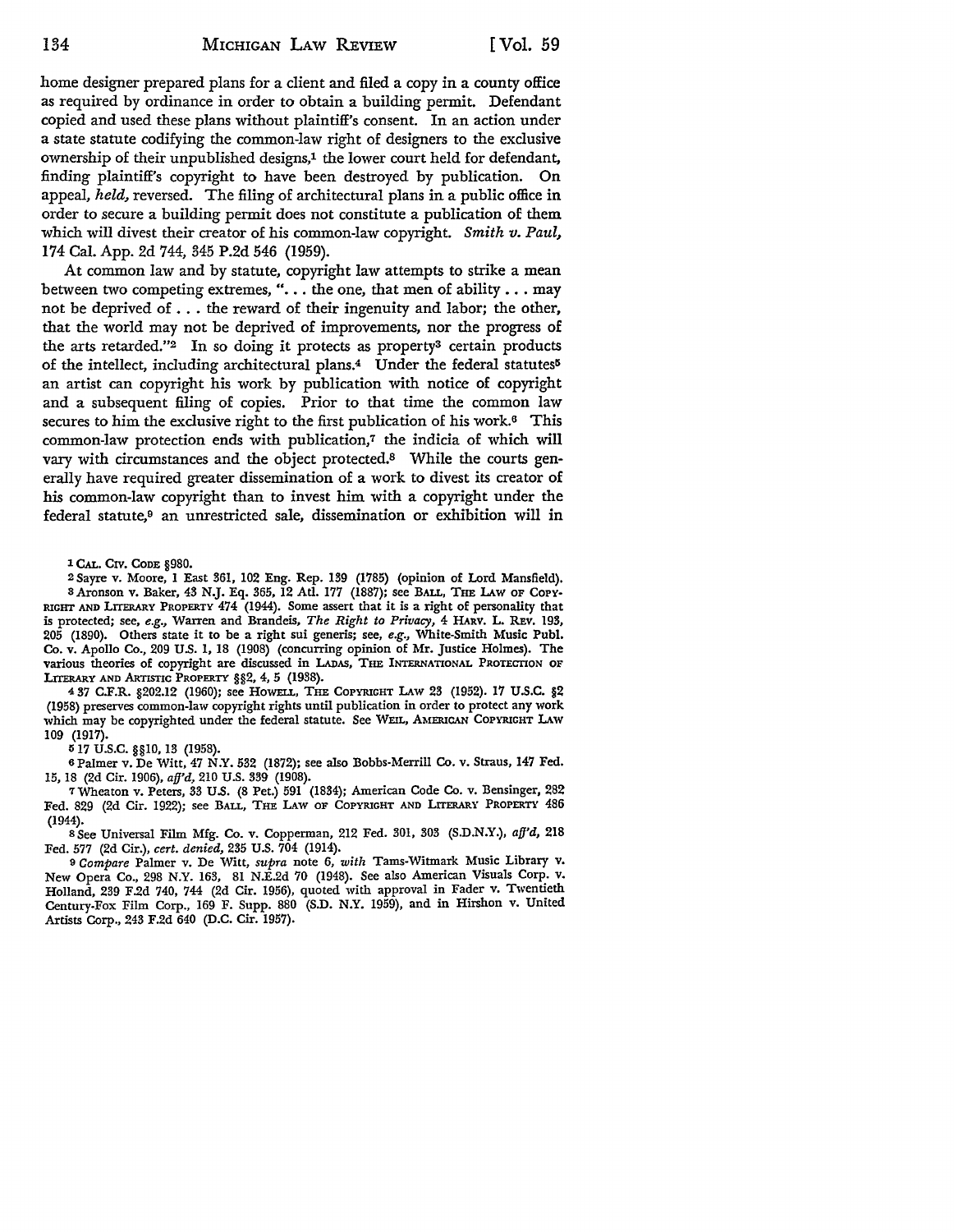home designer prepared plans for a client and filed a copy in a county office as required by ordinance in order to obtain a building permit. Defendant copied and used these plans without plaintiff's consent. In an action under a state statute codifying the common-law right of designers to the exclusive ownership of their unpublished designs,<sup>1</sup> the lower court held for defendant, finding plaintiff's copyright to have been destroyed by publication. **On**  appeal, *held,* reversed. The filing of architectural plans in a public office **in**  order to secure a building permit does not constitute a publication of them which will divest their creator of his common-law copyright. *Smith v. Paul,*  174 Cal. App. 2d 744, 345 P.2d 546 (1959).

At common law and by statute, copyright law attempts to strike a mean between two competing extremes, ". . . the one, that men of ability . . . may not be deprived of ... the reward of their ingenuity and labor; the other, that the world may not be deprived of improvements, nor the progress of the arts retarded."2 In so doing it protects as property3 certain products of the intellect, including architectural plans.<sup>4</sup> Under the federal statutes<sup>5</sup> an artist can copyright his work by publication with notice of copyright and a subsequent filing of copies. Prior to that time the common law secures to him the exclusive right to the first publication of his work.<sup>6</sup> This common-law protection ends with publication,7 the indicia of which will vary with circumstances and the object protected.8 While the courts generally have required greater dissemination of a work to divest its creator of his common-law copyright than to invest him with a copyright under the  $f$ ederal statute,<sup>9</sup> an unrestricted sale, dissemination or exhibition will in

1 CAL. CIV. CODE §980.

2 Sayre v. Moore, I East 361, 102 Eng. Rep. 139 (1785) (opinion of Lord Mansfield). s Aronson v. Baker, 43 N.J. Eq. 365, 12 Atl. 177 (1887); see BALL, THE LAW OF COPY-RIGHT AND LITERARY PROPERTY 474 (1944). Some assert that it is a right of personality that is protected; see, *e.g.,* Warren and Brandeis, *The Right to Privacy,* 4 HARV. L. REv. 193, 205 (1890). Others state it to be a right sui generis; see, *e.g.,* White-Smith Music Puhl. Co. v. Apollo Co., 209 U.S. I, 18 (1908) (concurring opinion of Mr. Justice Holmes). The various theories of copyright are discussed in LADAS, THE INTERNATIONAL PROTECTION OF LITERARY AND ARTISTIC PROPERTY §§2, 4, 5 (1938).

<sup>4</sup>37 C.F.R. §202.12 (1960); see HOWELL, THE COPYRIGHT LAw 23 (1952). 17 u.s.c. §2 (1958) preserves common-law copyright rights until publication in order to protect any work which may be copyrighted under the federal statute. See WEIL, AMERICAN COPYRIGHT LAW 109 (1917).

IS 17 U.S.C. §§10, 13 (1958).

6Palmer v. De Witt, 47 N.Y. 532 (1872); see also Bobbs-Merrill Co. v. Straus, 147 Fed. 15, 18 (2d Cir. 1906), *afj'd,* 210 U.S. 339 (1908).

7Wheaton v. Peters, 33 U.S. (8 Pet.) 591 (1834); American Code Co. v. Bensinger, 282 Fed. 829 (2d Cir. 1922); see BALL, THE LAW OF COPYRIGHT AND LITERARY PROPERTY 486

(1944). s See Universal Film Mfg. Co. v. Copperman, 212 Fed. 301, 303 (S.D.N.Y.), *afj'd,* <sup>218</sup> Fed. 577 (2d Cir.), *cert. denied,* 235 U.S. 704 (1914).

<sup>9</sup>*Compare* Palmer v. De Witt, *supra* note 6, *with* Tams-Witmark Music Library v. New Opera Co., 298 N.Y. 163, 81 N.E.2d 70 (1948). See also American Visuals Corp. v. Holland, 239 F.2d 740, 744 (2d Cir. 1956), quoted with approval in Fader v. Twentieth Century-Fox Film Corp., 169 F. Supp. 880 (S.D. N.Y. 1959), and in Hirshon v. United Artists Corp., 243 F.2d 640 (D.C. Cir. 1957),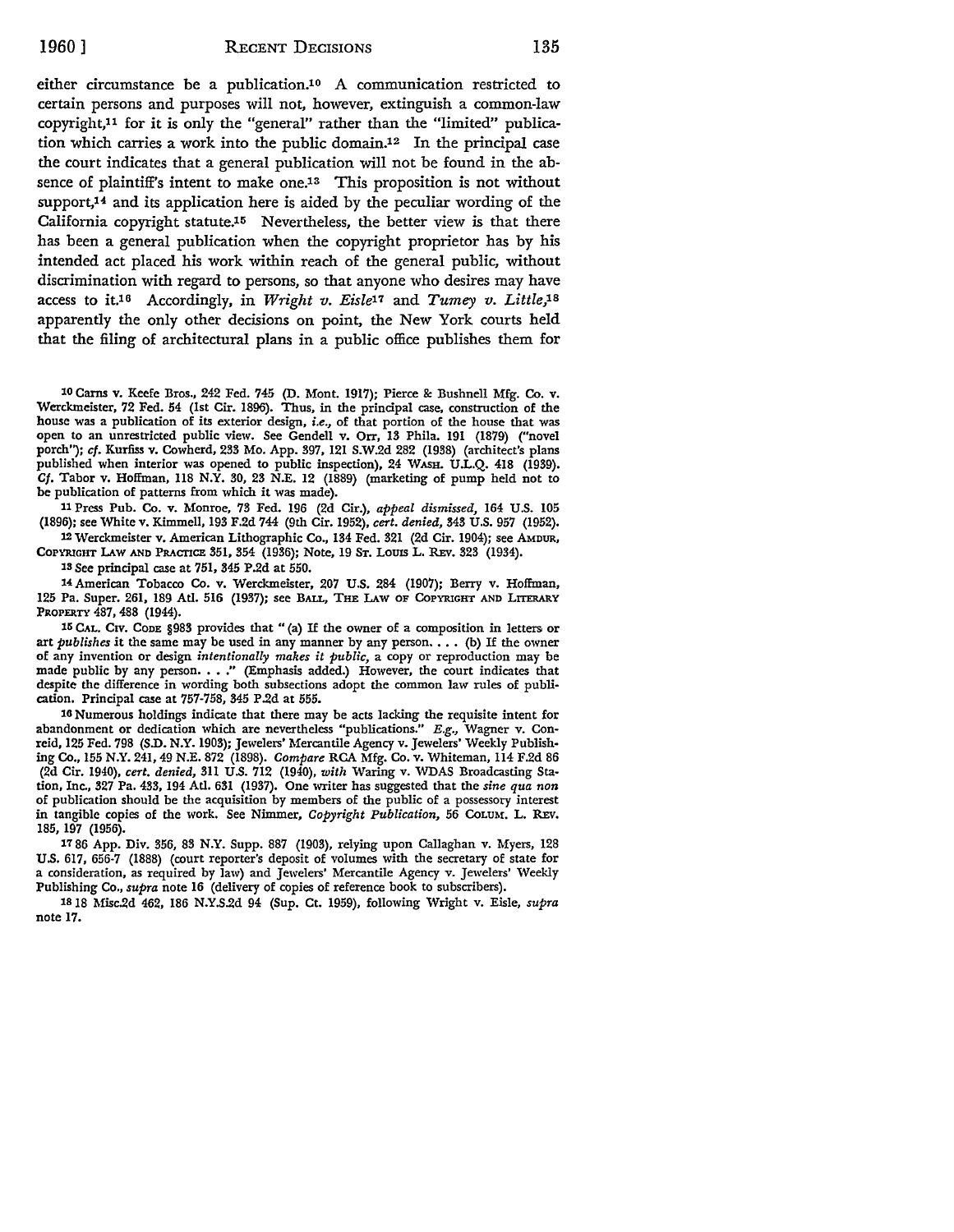either circumstance be a publication.10 A communication restricted to certain persons and purposes will not, however, extinguish a common-law copyright,11 for it is only the "general" rather than the "limited" publication which carries a work into the public domain.<sup>12</sup> In the principal case the court indicates that a general publication will not be found in the absence of plaintiff's intent to make one.13 This proposition is not without support,<sup>14</sup> and its application here is aided by the peculiar wording of the California copyright statute.15 Nevertheless, the better view is that there has been a general publication when the copyright proprietor has by his intended act placed his work within reach of the general public, without discrimination with regard to persons, so that anyone who desires may have access *to* it.16 Accordingly, in *Wright v. Eis[e11* and *Tumey v. Little,18*  apparently the only other decisions on point, the New York courts held that the filing of architectural plans in a public office publishes them for

10 Carns v. Keefe Bros., 242 Fed. 745 (D. Mont. 1917); Pierce & Bushnell Mfg. Co. v. Werckmeister, 72 Fed. 54 (1st Cir. 1896). Thus, in the principal case, construction of the house was a publication of its exterior design, *i.e.,* of that portion of the house that was open to an unrestricted public view. See Gendell v. Orr, 13 Phila. 191 (1879) ("novel porch"); cf. Kurfiss v. Cowherd, 233 Mo. App. 397, 121 S.W.2d 282 (1938) (architect's plans published when interior was opened to public inspection), 24 WASH. U.L.Q. 418 (1939). Cf. Tabor v. Hoffman, 118 N.Y. 30, 23 N.E. 12 (1889) (marketing of pump held not to be publication of patterns from which it was made).

11 Press Pub. Co. v. Monroe, 73 Fed. 196 (2d Cir.), *appeal dismissed,* 164 U.S. 105 (1896); see White v. Kimmell, 193 F.2d 744 (9th Cir. 1952), *cert. denied,* 343 U.S. 957 (1952).

12 Werckmeister v. American Lithographic Co., 134 Fed. 321 (2d Cir. 1904); see AMDUR, COPYRIGHT LAw AND PRACTICE 351, 354 (1936); Note, 19 ST. LOUIS L. REv. 323 (1934).

13 See principal case at 751, 345 P .2d at 550.

14 American Tobacco Co. v. Werckmeister, 207 U.S. 284 (1907); Berry v. Hoffman, 125 Pa. Super. 261, 189 Atl. 516 (1937); see BALL, THE LAW OF CoPYRIGHT AND LITERARY PROPERTY 487,488 (1944).

15 CAL. CIV. CODE §983 provides that "(a) If the owner of a composition in letters or art *publishes* it the same may be used in any manner by any person. . . . (b) If the owner of any invention or design *intentionally makes it public,* a copy or reproduction may be made public by any person. . . ." (Emphasis added.) However, the court indicates that despite the difference in wording both subsections adopt the common law rules of publication. Principal case at 757-758, 345 P.2d at 555.

16 Numerous holdings indicate that there may be acts lacking the requisite intent for abandonment or dedication which are nevertheless "publications."  $E.g.,$  Wagner v. Conreid, 125 Fed. 798 (S.D. N.Y. 1903); Jewelers' Mercantile Agency v. Jewelers' Weekly Publishing Co., 155 N.Y. 241, 49 N.E. 872 (1898). *Compare* RCA Mfg. Co. v. Whiteman, 114 F.2d 86 (2d Cir. 1940), *cert. denied,* 311 U.S. 712 (1940), *with* Waring v. WDAS Broadcasting Station, Inc., 327 Pa. 433, 194 Atl. 631 (1937). One writer has suggested that the *sine qua non*  of publication should be the acquisition by members of the public of a possessory interest in tangible copies of the work. See Nimmer, *Copyright Publication,* 56 CoLUM. L. REv. 185, 197 (1956).

17 86 App. Div. 356, 83 N.Y. Supp. 887 (1903), relying upon Callaghan v. Myers, 128 U.S. 617, 656•7 (1888) (court reporter's deposit of volumes with the secretary of state for a consideration, as required by law) and Jewelers' Mercantile Agency v. Jewelers' Weekly Publishing Co., *supra* note 16 (delivery of copies of reference book to subscribers).

1818 Misc.2d 462, 186 N.Y.S.2d 94 (Sup. Ct. 1959), following Wright v. Eisle, *supra*  note 17.